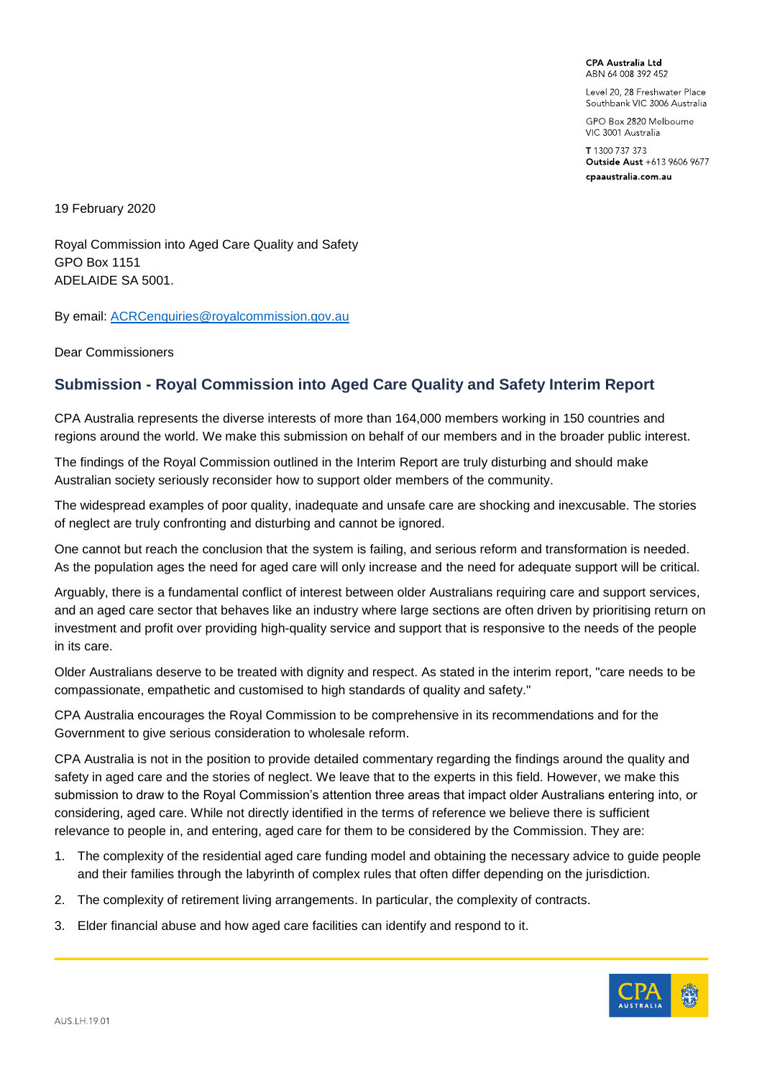**CPA Australia Ltd** ABN 64 008 392 452

Level 20, 28 Freshwater Place Southbank VIC 3006 Australia

GPO Box 2820 Melbourne VIC 3001 Australia

T 1300 737 373 Outside Aust +613 9606 9677 cpaaustralia.com.au

19 February 2020

Royal Commission into Aged Care Quality and Safety GPO Box 1151 ADELAIDE SA 5001.

By email: [ACRCenquiries@royalcommission.gov.au](mailto:ACRCenquiries@royalcommission.gov.au)

Dear Commissioners

## **Submission - Royal Commission into Aged Care Quality and Safety Interim Report**

CPA Australia represents the diverse interests of more than 164,000 members working in 150 countries and regions around the world. We make this submission on behalf of our members and in the broader public interest.

The findings of the Royal Commission outlined in the Interim Report are truly disturbing and should make Australian society seriously reconsider how to support older members of the community.

The widespread examples of poor quality, inadequate and unsafe care are shocking and inexcusable. The stories of neglect are truly confronting and disturbing and cannot be ignored.

One cannot but reach the conclusion that the system is failing, and serious reform and transformation is needed. As the population ages the need for aged care will only increase and the need for adequate support will be critical.

Arguably, there is a fundamental conflict of interest between older Australians requiring care and support services, and an aged care sector that behaves like an industry where large sections are often driven by prioritising return on investment and profit over providing high-quality service and support that is responsive to the needs of the people in its care.

Older Australians deserve to be treated with dignity and respect. As stated in the interim report, "care needs to be compassionate, empathetic and customised to high standards of quality and safety."

CPA Australia encourages the Royal Commission to be comprehensive in its recommendations and for the Government to give serious consideration to wholesale reform.

CPA Australia is not in the position to provide detailed commentary regarding the findings around the quality and safety in aged care and the stories of neglect. We leave that to the experts in this field. However, we make this submission to draw to the Royal Commission's attention three areas that impact older Australians entering into, or considering, aged care. While not directly identified in the terms of reference we believe there is sufficient relevance to people in, and entering, aged care for them to be considered by the Commission. They are:

- 1. The complexity of the residential aged care funding model and obtaining the necessary advice to guide people and their families through the labyrinth of complex rules that often differ depending on the jurisdiction.
- 2. The complexity of retirement living arrangements. In particular, the complexity of contracts.
- 3. Elder financial abuse and how aged care facilities can identify and respond to it.

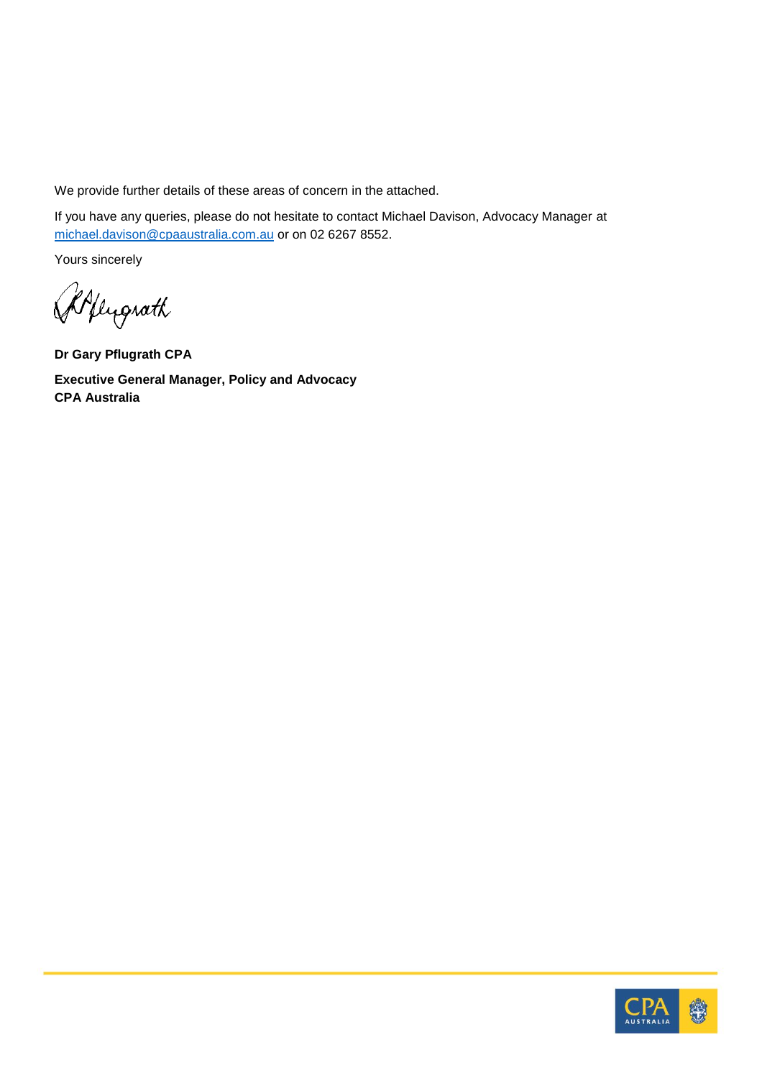We provide further details of these areas of concern in the attached.

If you have any queries, please do not hesitate to contact Michael Davison, Advocacy Manager at [michael.davison@cpaaustralia.com.au](mailto:michael.davison@cpaaustralia.com.au) or on 02 6267 8552.

Yours sincerely

Allugrath

**Dr Gary Pflugrath CPA Executive General Manager, Policy and Advocacy CPA Australia**

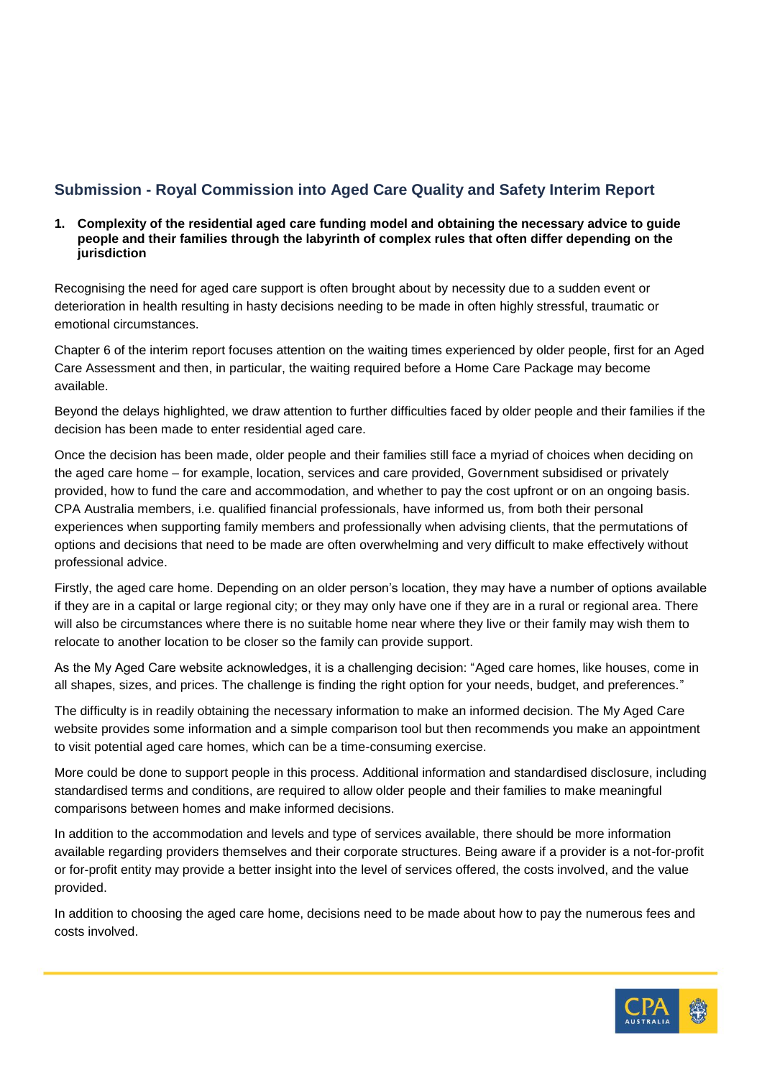# **Submission - Royal Commission into Aged Care Quality and Safety Interim Report**

#### **1. Complexity of the residential aged care funding model and obtaining the necessary advice to guide people and their families through the labyrinth of complex rules that often differ depending on the jurisdiction**

Recognising the need for aged care support is often brought about by necessity due to a sudden event or deterioration in health resulting in hasty decisions needing to be made in often highly stressful, traumatic or emotional circumstances.

Chapter 6 of the interim report focuses attention on the waiting times experienced by older people, first for an Aged Care Assessment and then, in particular, the waiting required before a Home Care Package may become available.

Beyond the delays highlighted, we draw attention to further difficulties faced by older people and their families if the decision has been made to enter residential aged care.

Once the decision has been made, older people and their families still face a myriad of choices when deciding on the aged care home – for example, location, services and care provided, Government subsidised or privately provided, how to fund the care and accommodation, and whether to pay the cost upfront or on an ongoing basis. CPA Australia members, i.e. qualified financial professionals, have informed us, from both their personal experiences when supporting family members and professionally when advising clients, that the permutations of options and decisions that need to be made are often overwhelming and very difficult to make effectively without professional advice.

Firstly, the aged care home. Depending on an older person's location, they may have a number of options available if they are in a capital or large regional city; or they may only have one if they are in a rural or regional area. There will also be circumstances where there is no suitable home near where they live or their family may wish them to relocate to another location to be closer so the family can provide support.

As the My Aged Care website acknowledges, it is a challenging decision: "Aged care homes, like houses, come in all shapes, sizes, and prices. The challenge is finding the right option for your needs, budget, and preferences."

The difficulty is in readily obtaining the necessary information to make an informed decision. The My Aged Care website provides some information and a simple comparison tool but then recommends you make an appointment to visit potential aged care homes, which can be a time-consuming exercise.

More could be done to support people in this process. Additional information and standardised disclosure, including standardised terms and conditions, are required to allow older people and their families to make meaningful comparisons between homes and make informed decisions.

In addition to the accommodation and levels and type of services available, there should be more information available regarding providers themselves and their corporate structures. Being aware if a provider is a not-for-profit or for-profit entity may provide a better insight into the level of services offered, the costs involved, and the value provided.

In addition to choosing the aged care home, decisions need to be made about how to pay the numerous fees and costs involved.

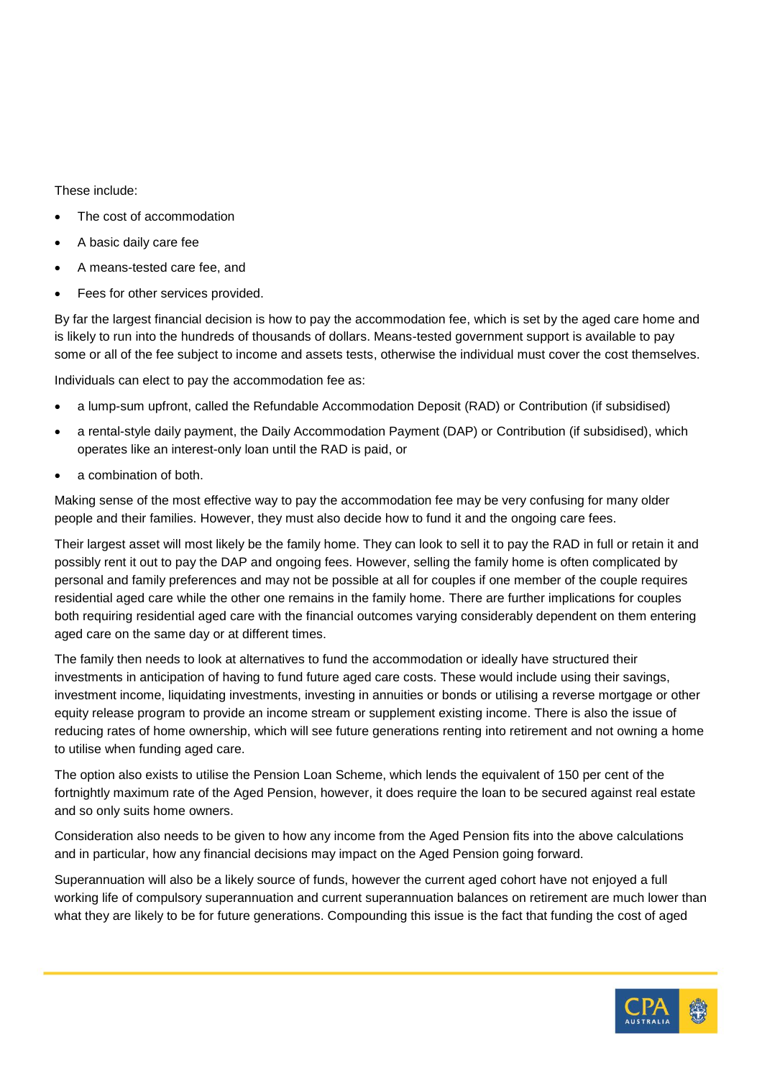These include:

- The cost of accommodation
- A basic daily care fee
- A means-tested care fee, and
- Fees for other services provided.

By far the largest financial decision is how to pay the accommodation fee, which is set by the aged care home and is likely to run into the hundreds of thousands of dollars. Means-tested government support is available to pay some or all of the fee subject to income and assets tests, otherwise the individual must cover the cost themselves.

Individuals can elect to pay the accommodation fee as:

- a lump-sum upfront, called the Refundable Accommodation Deposit (RAD) or Contribution (if subsidised)
- a rental-style daily payment, the Daily Accommodation Payment (DAP) or Contribution (if subsidised), which operates like an interest-only loan until the RAD is paid, or
- a combination of both.

Making sense of the most effective way to pay the accommodation fee may be very confusing for many older people and their families. However, they must also decide how to fund it and the ongoing care fees.

Their largest asset will most likely be the family home. They can look to sell it to pay the RAD in full or retain it and possibly rent it out to pay the DAP and ongoing fees. However, selling the family home is often complicated by personal and family preferences and may not be possible at all for couples if one member of the couple requires residential aged care while the other one remains in the family home. There are further implications for couples both requiring residential aged care with the financial outcomes varying considerably dependent on them entering aged care on the same day or at different times.

The family then needs to look at alternatives to fund the accommodation or ideally have structured their investments in anticipation of having to fund future aged care costs. These would include using their savings, investment income, liquidating investments, investing in annuities or bonds or utilising a reverse mortgage or other equity release program to provide an income stream or supplement existing income. There is also the issue of reducing rates of home ownership, which will see future generations renting into retirement and not owning a home to utilise when funding aged care.

The option also exists to utilise the Pension Loan Scheme, which lends the equivalent of 150 per cent of the fortnightly maximum rate of the Aged Pension, however, it does require the loan to be secured against real estate and so only suits home owners.

Consideration also needs to be given to how any income from the Aged Pension fits into the above calculations and in particular, how any financial decisions may impact on the Aged Pension going forward.

Superannuation will also be a likely source of funds, however the current aged cohort have not enjoyed a full working life of compulsory superannuation and current superannuation balances on retirement are much lower than what they are likely to be for future generations. Compounding this issue is the fact that funding the cost of aged

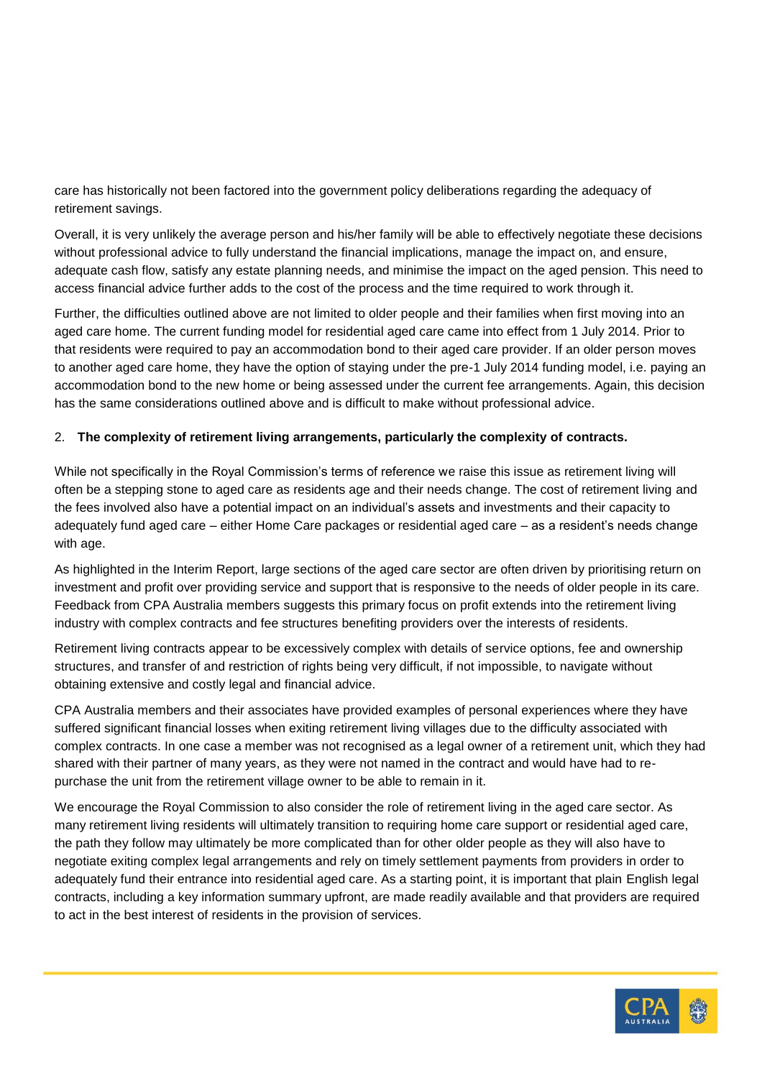care has historically not been factored into the government policy deliberations regarding the adequacy of retirement savings.

Overall, it is very unlikely the average person and his/her family will be able to effectively negotiate these decisions without professional advice to fully understand the financial implications, manage the impact on, and ensure, adequate cash flow, satisfy any estate planning needs, and minimise the impact on the aged pension. This need to access financial advice further adds to the cost of the process and the time required to work through it.

Further, the difficulties outlined above are not limited to older people and their families when first moving into an aged care home. The current funding model for residential aged care came into effect from 1 July 2014. Prior to that residents were required to pay an accommodation bond to their aged care provider. If an older person moves to another aged care home, they have the option of staying under the pre-1 July 2014 funding model, i.e. paying an accommodation bond to the new home or being assessed under the current fee arrangements. Again, this decision has the same considerations outlined above and is difficult to make without professional advice.

#### 2. **The complexity of retirement living arrangements, particularly the complexity of contracts.**

While not specifically in the Royal Commission's terms of reference we raise this issue as retirement living will often be a stepping stone to aged care as residents age and their needs change. The cost of retirement living and the fees involved also have a potential impact on an individual's assets and investments and their capacity to adequately fund aged care – either Home Care packages or residential aged care – as a resident's needs change with age.

As highlighted in the Interim Report, large sections of the aged care sector are often driven by prioritising return on investment and profit over providing service and support that is responsive to the needs of older people in its care. Feedback from CPA Australia members suggests this primary focus on profit extends into the retirement living industry with complex contracts and fee structures benefiting providers over the interests of residents.

Retirement living contracts appear to be excessively complex with details of service options, fee and ownership structures, and transfer of and restriction of rights being very difficult, if not impossible, to navigate without obtaining extensive and costly legal and financial advice.

CPA Australia members and their associates have provided examples of personal experiences where they have suffered significant financial losses when exiting retirement living villages due to the difficulty associated with complex contracts. In one case a member was not recognised as a legal owner of a retirement unit, which they had shared with their partner of many years, as they were not named in the contract and would have had to repurchase the unit from the retirement village owner to be able to remain in it.

We encourage the Royal Commission to also consider the role of retirement living in the aged care sector. As many retirement living residents will ultimately transition to requiring home care support or residential aged care, the path they follow may ultimately be more complicated than for other older people as they will also have to negotiate exiting complex legal arrangements and rely on timely settlement payments from providers in order to adequately fund their entrance into residential aged care. As a starting point, it is important that plain English legal contracts, including a key information summary upfront, are made readily available and that providers are required to act in the best interest of residents in the provision of services.

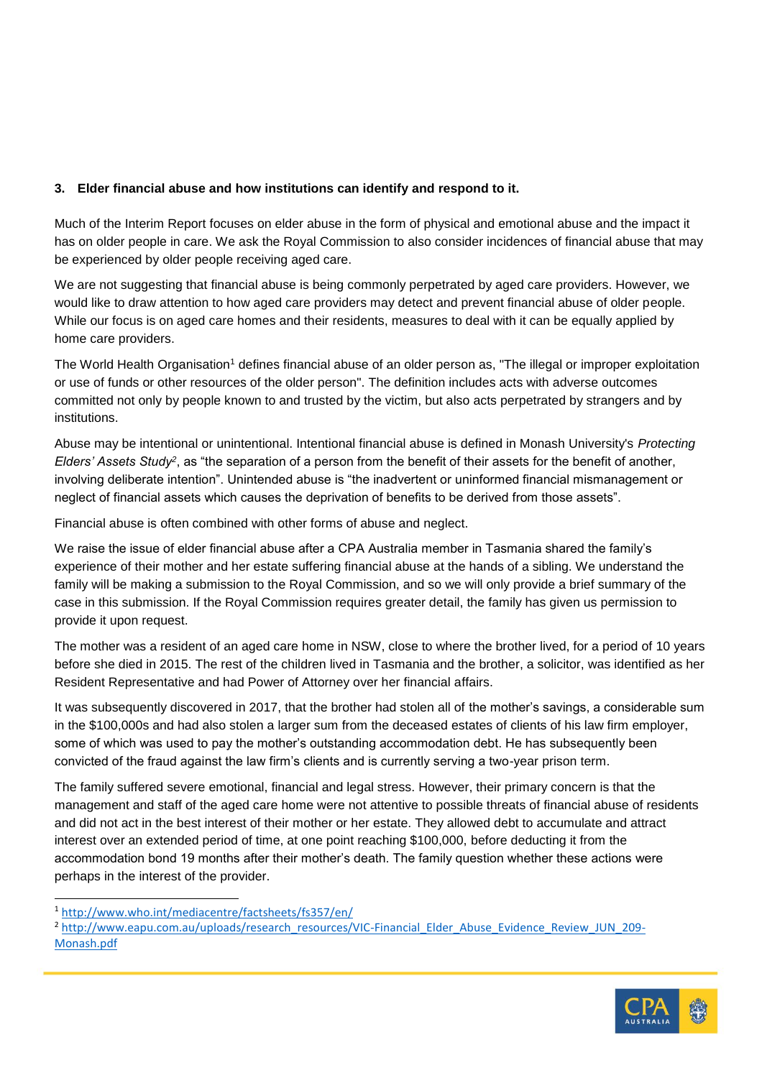### **3. Elder financial abuse and how institutions can identify and respond to it.**

Much of the Interim Report focuses on elder abuse in the form of physical and emotional abuse and the impact it has on older people in care. We ask the Royal Commission to also consider incidences of financial abuse that may be experienced by older people receiving aged care.

We are not suggesting that financial abuse is being commonly perpetrated by aged care providers. However, we would like to draw attention to how aged care providers may detect and prevent financial abuse of older people. While our focus is on aged care homes and their residents, measures to deal with it can be equally applied by home care providers.

The World Health Organisation<sup>1</sup> defines financial abuse of an older person as, "The illegal or improper exploitation or use of funds or other resources of the older person". The definition includes acts with adverse outcomes committed not only by people known to and trusted by the victim, but also acts perpetrated by strangers and by institutions.

Abuse may be intentional or unintentional. Intentional financial abuse is defined in Monash University's *Protecting Elders' Assets Study<sup>2</sup>*, as "the separation of a person from the benefit of their assets for the benefit of another, involving deliberate intention". Unintended abuse is "the inadvertent or uninformed financial mismanagement or neglect of financial assets which causes the deprivation of benefits to be derived from those assets".

Financial abuse is often combined with other forms of abuse and neglect.

We raise the issue of elder financial abuse after a CPA Australia member in Tasmania shared the family's experience of their mother and her estate suffering financial abuse at the hands of a sibling. We understand the family will be making a submission to the Royal Commission, and so we will only provide a brief summary of the case in this submission. If the Royal Commission requires greater detail, the family has given us permission to provide it upon request.

The mother was a resident of an aged care home in NSW, close to where the brother lived, for a period of 10 years before she died in 2015. The rest of the children lived in Tasmania and the brother, a solicitor, was identified as her Resident Representative and had Power of Attorney over her financial affairs.

It was subsequently discovered in 2017, that the brother had stolen all of the mother's savings, a considerable sum in the \$100,000s and had also stolen a larger sum from the deceased estates of clients of his law firm employer, some of which was used to pay the mother's outstanding accommodation debt. He has subsequently been convicted of the fraud against the law firm's clients and is currently serving a two-year prison term.

The family suffered severe emotional, financial and legal stress. However, their primary concern is that the management and staff of the aged care home were not attentive to possible threats of financial abuse of residents and did not act in the best interest of their mother or her estate. They allowed debt to accumulate and attract interest over an extended period of time, at one point reaching \$100,000, before deducting it from the accommodation bond 19 months after their mother's death. The family question whether these actions were perhaps in the interest of the provider.

l

<sup>&</sup>lt;sup>2</sup> [http://www.eapu.com.au/uploads/research\\_resources/VIC-Financial\\_Elder\\_Abuse\\_Evidence\\_Review\\_JUN\\_209-](http://www.eapu.com.au/uploads/research_resources/VIC-Financial_Elder_Abuse_Evidence_Review_JUN_209-Monash.pdf) [Monash.pdf](http://www.eapu.com.au/uploads/research_resources/VIC-Financial_Elder_Abuse_Evidence_Review_JUN_209-Monash.pdf)



<sup>1</sup> <http://www.who.int/mediacentre/factsheets/fs357/en/>